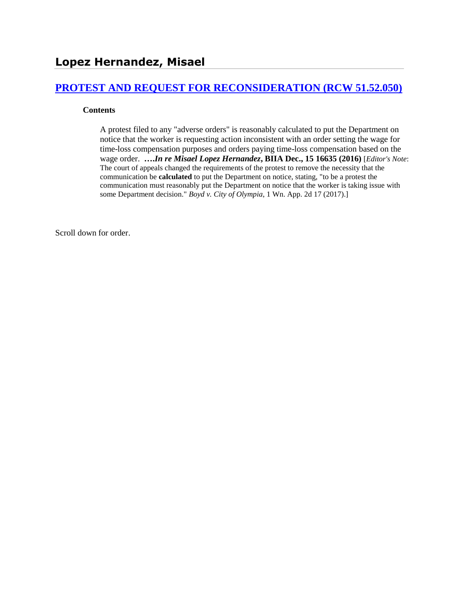# **[PROTEST AND REQUEST FOR RECONSIDERATION \(RCW 51.52.050\)](http://www.biia.wa.gov/SDSubjectIndex.html#PROTEST_AND_REQUEST_FOR_RECONSIDERATION)**

#### **Contents**

A protest filed to any "adverse orders" is reasonably calculated to put the Department on notice that the worker is requesting action inconsistent with an order setting the wage for time-loss compensation purposes and orders paying time-loss compensation based on the wage order. **….***In re Misael Lopez Hernandez***, BIIA Dec., 15 16635 (2016)** [*Editor's Note*: The court of appeals changed the requirements of the protest to remove the necessity that the communication be **calculated** to put the Department on notice, stating, "to be a protest the communication must reasonably put the Department on notice that the worker is taking issue with some Department decision." *Boyd v. City of Olympia*, 1 Wn. App. 2d 17 (2017).]

Scroll down for order.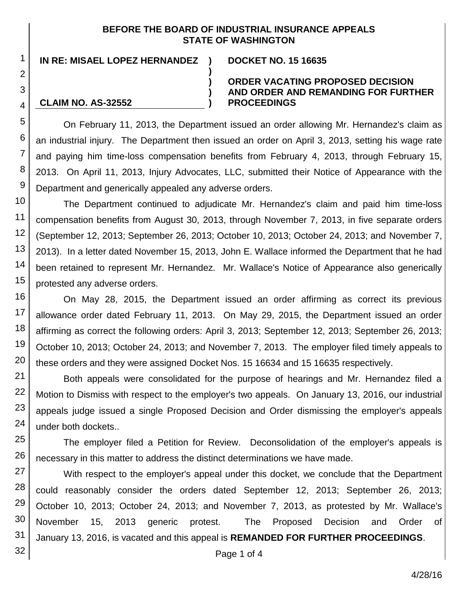# **BEFORE THE BOARD OF INDUSTRIAL INSURANCE APPEALS STATE OF WASHINGTON**

**)**

**) ) )**

**IN RE: MISAEL LOPEZ HERNANDEZ ) DOCKET NO. 15 16635**

**CLAIM NO. AS-32552**

## **ORDER VACATING PROPOSED DECISION AND ORDER AND REMANDING FOR FURTHER PROCEEDINGS**

On February 11, 2013, the Department issued an order allowing Mr. Hernandez's claim as an industrial injury. The Department then issued an order on April 3, 2013, setting his wage rate and paying him time-loss compensation benefits from February 4, 2013, through February 15, 2013. On April 11, 2013, Injury Advocates, LLC, submitted their Notice of Appearance with the Department and generically appealed any adverse orders.

The Department continued to adjudicate Mr. Hernandez's claim and paid him time-loss compensation benefits from August 30, 2013, through November 7, 2013, in five separate orders (September 12, 2013; September 26, 2013; October 10, 2013; October 24, 2013; and November 7, 2013). In a letter dated November 15, 2013, John E. Wallace informed the Department that he had been retained to represent Mr. Hernandez. Mr. Wallace's Notice of Appearance also generically protested any adverse orders.

On May 28, 2015, the Department issued an order affirming as correct its previous allowance order dated February 11, 2013. On May 29, 2015, the Department issued an order affirming as correct the following orders: April 3, 2013; September 12, 2013; September 26, 2013; October 10, 2013; October 24, 2013; and November 7, 2013. The employer filed timely appeals to these orders and they were assigned Docket Nos. 15 16634 and 15 16635 respectively.

Both appeals were consolidated for the purpose of hearings and Mr. Hernandez filed a Motion to Dismiss with respect to the employer's two appeals. On January 13, 2016, our industrial appeals judge issued a single Proposed Decision and Order dismissing the employer's appeals under both dockets..

The employer filed a Petition for Review. Deconsolidation of the employer's appeals is necessary in this matter to address the distinct determinations we have made.

With respect to the employer's appeal under this docket, we conclude that the Department could reasonably consider the orders dated September 12, 2013; September 26, 2013; October 10, 2013; October 24, 2013; and November 7, 2013, as protested by Mr. Wallace's November 15, 2013 generic protest. The Proposed Decision and Order of January 13, 2016, is vacated and this appeal is **REMANDED FOR FURTHER PROCEEDINGS**.

32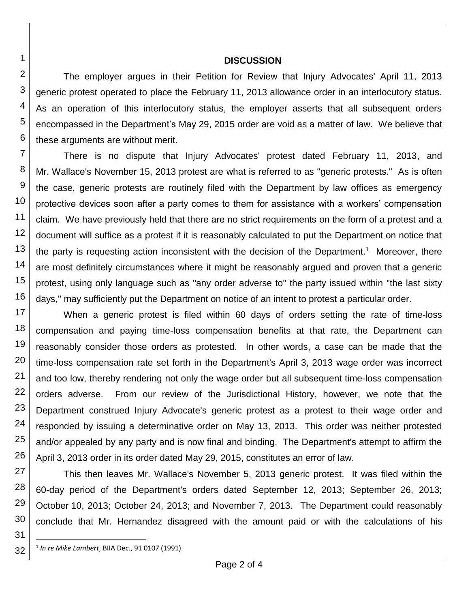#### **DISCUSSION**

The employer argues in their Petition for Review that Injury Advocates' April 11, 2013 generic protest operated to place the February 11, 2013 allowance order in an interlocutory status. As an operation of this interlocutory status, the employer asserts that all subsequent orders encompassed in the Department's May 29, 2015 order are void as a matter of law. We believe that these arguments are without merit.

7 8 9 10 11 There is no dispute that Injury Advocates' protest dated February 11, 2013, and Mr. Wallace's November 15, 2013 protest are what is referred to as "generic protests." As is often the case, generic protests are routinely filed with the Department by law offices as emergency protective devices soon after a party comes to them for assistance with a workers' compensation claim. We have previously held that there are no strict requirements on the form of a protest and a document will suffice as a protest if it is reasonably calculated to put the Department on notice that the party is requesting action inconsistent with the decision of the Department.<sup>1</sup> Moreover, there are most definitely circumstances where it might be reasonably argued and proven that a generic protest, using only language such as "any order adverse to" the party issued within "the last sixty days," may sufficiently put the Department on notice of an intent to protest a particular order.

18 When a generic protest is filed within 60 days of orders setting the rate of time-loss compensation and paying time-loss compensation benefits at that rate, the Department can reasonably consider those orders as protested. In other words, a case can be made that the time-loss compensation rate set forth in the Department's April 3, 2013 wage order was incorrect and too low, thereby rendering not only the wage order but all subsequent time-loss compensation orders adverse. From our review of the Jurisdictional History, however, we note that the Department construed Injury Advocate's generic protest as a protest to their wage order and responded by issuing a determinative order on May 13, 2013. This order was neither protested and/or appealed by any party and is now final and binding. The Department's attempt to affirm the April 3, 2013 order in its order dated May 29, 2015, constitutes an error of law.

28 29 30 This then leaves Mr. Wallace's November 5, 2013 generic protest. It was filed within the 60-day period of the Department's orders dated September 12, 2013; September 26, 2013; October 10, 2013; October 24, 2013; and November 7, 2013. The Department could reasonably conclude that Mr. Hernandez disagreed with the amount paid or with the calculations of his

31

l

1

2

3

4

5

6

<sup>12</sup> 13 14 15 16 17 19 20 21 22 23 24 25 26 27

<sup>32</sup> 1 *In re Mike Lambert*, BIIA Dec., 91 0107 (1991).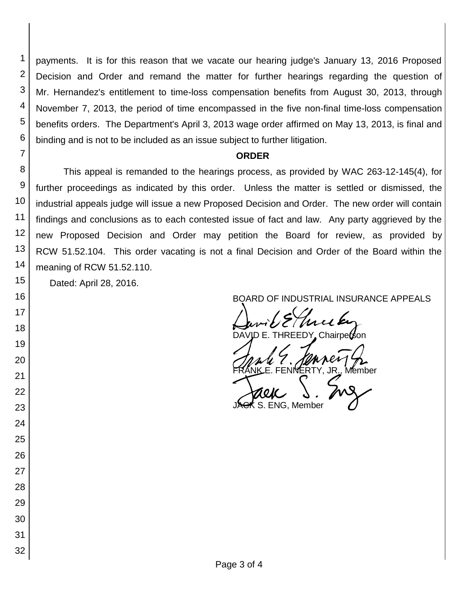payments. It is for this reason that we vacate our hearing judge's January 13, 2016 Proposed Decision and Order and remand the matter for further hearings regarding the question of Mr. Hernandez's entitlement to time-loss compensation benefits from August 30, 2013, through November 7, 2013, the period of time encompassed in the five non-final time-loss compensation benefits orders. The Department's April 3, 2013 wage order affirmed on May 13, 2013, is final and binding and is not to be included as an issue subject to further litigation.

#### **ORDER**

This appeal is remanded to the hearings process, as provided by WAC 263-12-145(4), for further proceedings as indicated by this order. Unless the matter is settled or dismissed, the industrial appeals judge will issue a new Proposed Decision and Order. The new order will contain findings and conclusions as to each contested issue of fact and law. Any party aggrieved by the new Proposed Decision and Order may petition the Board for review, as provided by RCW 51.52.104. This order vacating is not a final Decision and Order of the Board within the meaning of RCW 51.52.110.

Dated: April 28, 2016.

# BOARD OF INDUSTRIAL INSURANCE APPEALS

David Eller<br>DAVID E. THREEDY Chairperson

DAVID E. THREEDY Chairperson

FRANKE. FENNERTY, JR., Member<br>GRANKE. FENNERTY, JR., Member<br>JAGK S. ENG, Member S. ENG. Member